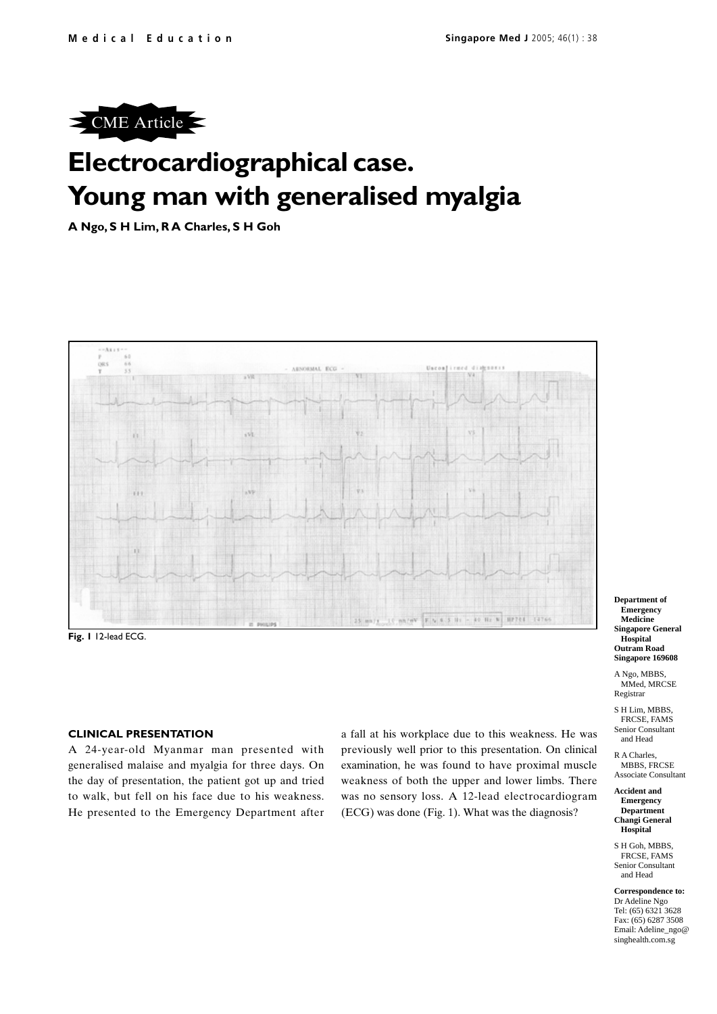

# **Electrocardiographical case. Young man with generalised myalgia**

**A Ngo, S H Lim, R A Charles, S H Goh**



**Fig. 1** 12-lead ECG.

## **CLINICAL PRESENTATION**

A 24-year-old Myanmar man presented with generalised malaise and myalgia for three days. On the day of presentation, the patient got up and tried to walk, but fell on his face due to his weakness. He presented to the Emergency Department after a fall at his workplace due to this weakness. He was previously well prior to this presentation. On clinical examination, he was found to have proximal muscle weakness of both the upper and lower limbs. There was no sensory loss. A 12-lead electrocardiogram (ECG) was done (Fig. 1). What was the diagnosis?

**Department of Emergency Medicine Singapore General Hospital Outram Road Singapore 169608**

A Ngo, MBBS, MMed, MRCSE Registrar

S H Lim, MBBS, FRCSE, FAMS Senior Consultant and Head

R A Charles, MBBS, FRCSE Associate Consultant

#### **Accident and Emergency Department Changi General Hospital**

S H Goh, MBBS, FRCSE, FAMS Senior Consultant and Head

**Correspondence to:** Dr Adeline Ngo Tel: (65) 6321 3628 Fax: (65) 6287 3508 Email: Adeline\_ngo@ singhealth.com.sg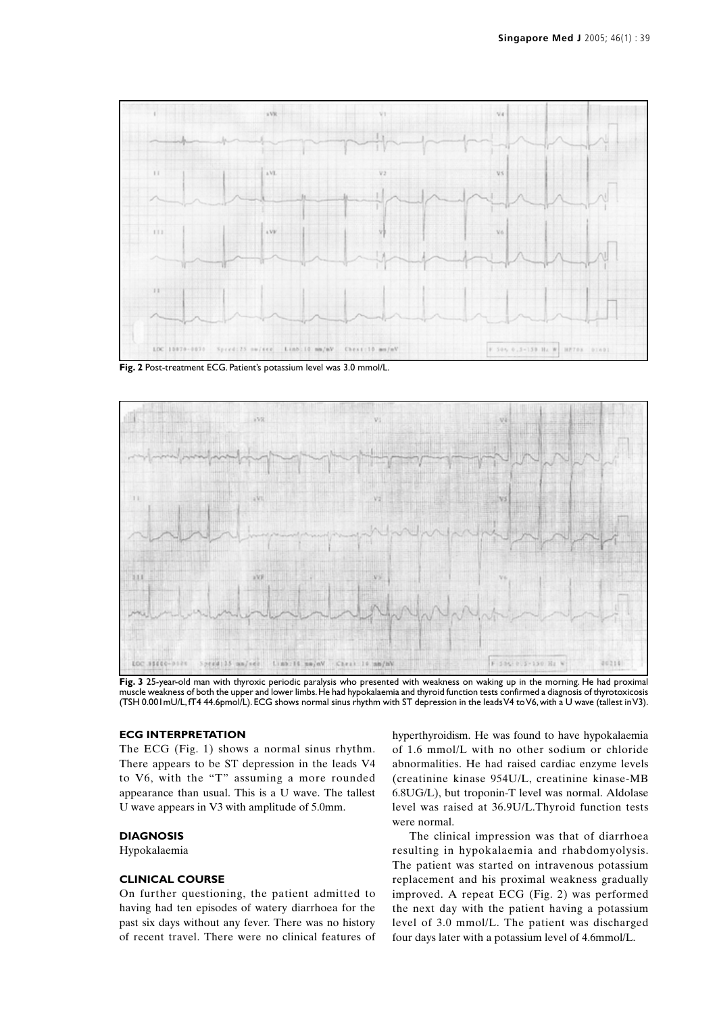

**Fig. 2** Post-treatment ECG. Patient's potassium level was 3.0 mmol/L.



**Fig. 3** 25-year-old man with thyroxic periodic paralysis who presented with weakness on waking up in the morning. He had proximal muscle weakness of both the upper and lower limbs. He had hypokalaemia and thyroid function tests confirmed a diagnosis of thyrotoxicosis (TSH 0.001mU/L, fT4 44.6pmol/L). ECG shows normal sinus rhythm with ST depression in the leads V4 to V6, with a U wave (tallest in V3).

## **ECG INTERPRETATION**

The ECG (Fig. 1) shows a normal sinus rhythm. There appears to be ST depression in the leads V4 to V6, with the "T" assuming a more rounded appearance than usual. This is a U wave. The tallest U wave appears in V3 with amplitude of 5.0mm.

## **DIAGNOSIS**

Hypokalaemia

# **CLINICAL COURSE**

On further questioning, the patient admitted to having had ten episodes of watery diarrhoea for the past six days without any fever. There was no history of recent travel. There were no clinical features of hyperthyroidism. He was found to have hypokalaemia of 1.6 mmol/L with no other sodium or chloride abnormalities. He had raised cardiac enzyme levels (creatinine kinase 954U/L, creatinine kinase-MB 6.8UG/L), but troponin-T level was normal. Aldolase level was raised at 36.9U/L.Thyroid function tests were normal.

The clinical impression was that of diarrhoea resulting in hypokalaemia and rhabdomyolysis. The patient was started on intravenous potassium replacement and his proximal weakness gradually improved. A repeat ECG (Fig. 2) was performed the next day with the patient having a potassium level of 3.0 mmol/L. The patient was discharged four days later with a potassium level of 4.6mmol/L.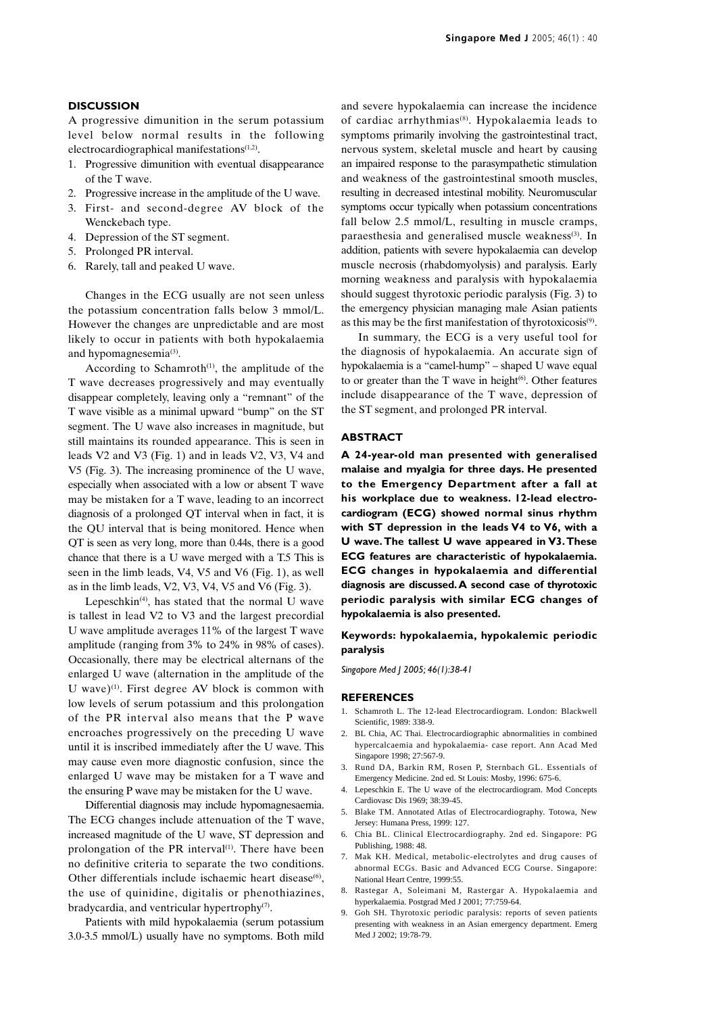### **DISCUSSION**

A progressive dimunition in the serum potassium level below normal results in the following electrocardiographical manifestations<sup>(1,2)</sup>.

- 1. Progressive dimunition with eventual disappearance of the T wave.
- 2. Progressive increase in the amplitude of the U wave.
- 3. First- and second-degree AV block of the Wenckebach type.
- 4. Depression of the ST segment.
- 5. Prolonged PR interval.
- 6. Rarely, tall and peaked U wave.

Changes in the ECG usually are not seen unless the potassium concentration falls below 3 mmol/L. However the changes are unpredictable and are most likely to occur in patients with both hypokalaemia and hypomagnesemia<sup>(3)</sup>.

According to Schamroth $(1)$ , the amplitude of the T wave decreases progressively and may eventually disappear completely, leaving only a "remnant" of the T wave visible as a minimal upward "bump" on the ST segment. The U wave also increases in magnitude, but still maintains its rounded appearance. This is seen in leads V2 and V3 (Fig. 1) and in leads V2, V3, V4 and V5 (Fig. 3). The increasing prominence of the U wave, especially when associated with a low or absent T wave may be mistaken for a T wave, leading to an incorrect diagnosis of a prolonged QT interval when in fact, it is the QU interval that is being monitored. Hence when QT is seen as very long, more than 0.44s, there is a good chance that there is a U wave merged with a T.5 This is seen in the limb leads, V4, V5 and V6 (Fig. 1), as well as in the limb leads, V2, V3, V4, V5 and V6 (Fig. 3).

Lepeschkin<sup> $(4)$ </sup>, has stated that the normal U wave is tallest in lead V2 to V3 and the largest precordial U wave amplitude averages 11% of the largest T wave amplitude (ranging from 3% to 24% in 98% of cases). Occasionally, there may be electrical alternans of the enlarged U wave (alternation in the amplitude of the U wave) $(1)$ . First degree AV block is common with low levels of serum potassium and this prolongation of the PR interval also means that the P wave encroaches progressively on the preceding U wave until it is inscribed immediately after the U wave. This may cause even more diagnostic confusion, since the enlarged U wave may be mistaken for a T wave and the ensuring P wave may be mistaken for the U wave.

Differential diagnosis may include hypomagnesaemia. The ECG changes include attenuation of the T wave, increased magnitude of the U wave, ST depression and prolongation of the PR interval<sup>(1)</sup>. There have been no definitive criteria to separate the two conditions. Other differentials include ischaemic heart disease $(6)$ , the use of quinidine, digitalis or phenothiazines, bradycardia, and ventricular hypertrophy<sup>(7)</sup>.

Patients with mild hypokalaemia (serum potassium 3.0-3.5 mmol/L) usually have no symptoms. Both mild and severe hypokalaemia can increase the incidence of cardiac arrhythmias(8). Hypokalaemia leads to symptoms primarily involving the gastrointestinal tract, nervous system, skeletal muscle and heart by causing an impaired response to the parasympathetic stimulation and weakness of the gastrointestinal smooth muscles, resulting in decreased intestinal mobility. Neuromuscular symptoms occur typically when potassium concentrations fall below 2.5 mmol/L, resulting in muscle cramps, paraesthesia and generalised muscle weakness<sup>(3)</sup>. In addition, patients with severe hypokalaemia can develop muscle necrosis (rhabdomyolysis) and paralysis. Early morning weakness and paralysis with hypokalaemia should suggest thyrotoxic periodic paralysis (Fig. 3) to the emergency physician managing male Asian patients as this may be the first manifestation of thyrotoxicosis<sup>(9)</sup>.

In summary, the ECG is a very useful tool for the diagnosis of hypokalaemia. An accurate sign of hypokalaemia is a "camel-hump" – shaped U wave equal to or greater than the  $T$  wave in height<sup> $(6)$ </sup>. Other features include disappearance of the T wave, depression of the ST segment, and prolonged PR interval.

#### **ABSTRACT**

**A 24-year-old man presented with generalised malaise and myalgia for three days. He presented to the Emergency Department after a fall at his workplace due to weakness. 12-lead electrocardiogram (ECG) showed normal sinus rhythm with ST depression in the leads V4 to V6, with a U wave. The tallest U wave appeared in V3. These ECG features are characteristic of hypokalaemia. ECG changes in hypokalaemia and differential diagnosis are discussed. A second case of thyrotoxic periodic paralysis with similar ECG changes of hypokalaemia is also presented.**

### **Keywords: hypokalaemia, hypokalemic periodic paralysis**

*Singapore Med J 2005; 46(1):38-41*

#### **REFERENCES**

- 1. Schamroth L. The 12-lead Electrocardiogram. London: Blackwell Scientific, 1989: 338-9.
- 2. BL Chia, AC Thai. Electrocardiographic abnormalities in combined hypercalcaemia and hypokalaemia- case report. Ann Acad Med Singapore 1998; 27:567-9.
- 3. Rund DA, Barkin RM, Rosen P, Sternbach GL. Essentials of Emergency Medicine. 2nd ed. St Louis: Mosby, 1996: 675-6.
- 4. Lepeschkin E. The U wave of the electrocardiogram. Mod Concepts Cardiovasc Dis 1969; 38:39-45.
- 5. Blake TM. Annotated Atlas of Electrocardiography. Totowa, New Jersey: Humana Press, 1999: 127.
- 6. Chia BL. Clinical Electrocardiography. 2nd ed. Singapore: PG Publishing, 1988: 48.
- 7. Mak KH. Medical, metabolic-electrolytes and drug causes of abnormal ECGs. Basic and Advanced ECG Course. Singapore: National Heart Centre, 1999:55.
- 8. Rastegar A, Soleimani M, Rastergar A. Hypokalaemia and hyperkalaemia. Postgrad Med J 2001; 77:759-64.
- Goh SH. Thyrotoxic periodic paralysis: reports of seven patients presenting with weakness in an Asian emergency department. Emerg Med J 2002; 19:78-79.